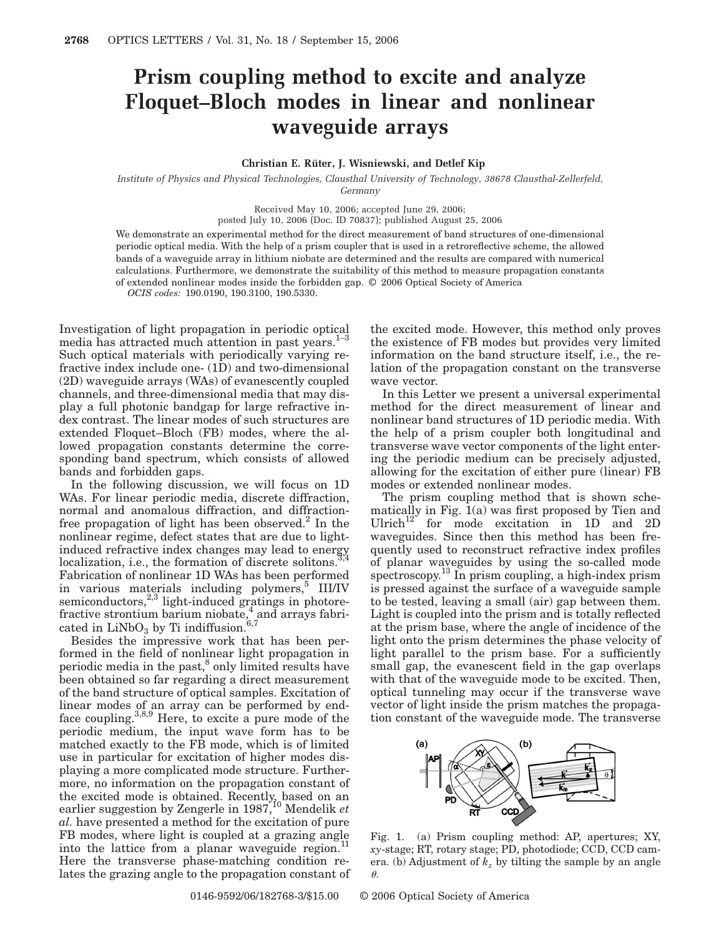## **Prism coupling method to excite and analyze Floquet–Bloch modes in linear and nonlinear waveguide arrays**

## **Christian E. Rüter, J. Wisniewski, and Detlef Kip**

*Institute of Physics and Physical Technologies, Clausthal University of Technology, 38678 Clausthal-Zellerfeld, Germany*

Received May 10, 2006; accepted June 29, 2006;

posted July 10, 2006 (Doc. ID 70837); published August 25, 2006

We demonstrate an experimental method for the direct measurement of band structures of one-dimensional periodic optical media. With the help of a prism coupler that is used in a retroreflective scheme, the allowed bands of a waveguide array in lithium niobate are determined and the results are compared with numerical calculations. Furthermore, we demonstrate the suitability of this method to measure propagation constants of extended nonlinear modes inside the forbidden gap. © 2006 Optical Society of America

*OCIS codes:* 190.0190, 190.3100, 190.5330.

Investigation of light propagation in periodic optical media has attracted much attention in past years. $1-3$ Such optical materials with periodically varying refractive index include one- (1D) and two-dimensional (2D) waveguide arrays (WAs) of evanescently coupled channels, and three-dimensional media that may display a full photonic bandgap for large refractive index contrast. The linear modes of such structures are extended Floquet–Bloch (FB) modes, where the allowed propagation constants determine the corresponding band spectrum, which consists of allowed bands and forbidden gaps.

In the following discussion, we will focus on 1D WAs. For linear periodic media, discrete diffraction, normal and anomalous diffraction, and diffractionfree propagation of light has been observed.<sup>2</sup> In the nonlinear regime, defect states that are due to lightinduced refractive index changes may lead to energy localization, i.e., the formation of discrete solitons.<sup>3</sup> Fabrication of nonlinear 1D WAs has been performed in various materials including polymers,<sup>3</sup> III/IV semiconductors, $2,3$  light-induced gratings in photorefractive strontium barium niobate, $\frac{4}{3}$  and arrays fabricated in  $LiNbO<sub>3</sub>$  by Ti indiffusion.<sup>6,7</sup>

Besides the impressive work that has been performed in the field of nonlinear light propagation in periodic media in the past, $^8$  only limited results have been obtained so far regarding a direct measurement of the band structure of optical samples. Excitation of linear modes of an array can be performed by endface coupling.  $3,8,9$  Here, to excite a pure mode of the periodic medium, the input wave form has to be matched exactly to the FB mode, which is of limited use in particular for excitation of higher modes displaying a more complicated mode structure. Furthermore, no information on the propagation constant of the excited mode is obtained. Recently, based on an earlier suggestion by Zengerle in 1987,10 Mendelik *et al.* have presented a method for the excitation of pure FB modes, where light is coupled at a grazing angle into the lattice from a planar waveguide region. Here the transverse phase-matching condition relates the grazing angle to the propagation constant of the excited mode. However, this method only proves the existence of FB modes but provides very limited information on the band structure itself, i.e., the relation of the propagation constant on the transverse wave vector.

In this Letter we present a universal experimental method for the direct measurement of linear and nonlinear band structures of 1D periodic media. With the help of a prism coupler both longitudinal and transverse wave vector components of the light entering the periodic medium can be precisely adjusted, allowing for the excitation of either pure (linear) FB modes or extended nonlinear modes.

The prism coupling method that is shown schematically in Fig. 1(a) was first proposed by Tien and Ulrich<sup>12</sup> for mode excitation in 1D and 2D waveguides. Since then this method has been frequently used to reconstruct refractive index profiles of planar waveguides by using the so-called mode spectroscopy.<sup>13</sup> In prism coupling, a high-index prism is pressed against the surface of a waveguide sample to be tested, leaving a small (air) gap between them. Light is coupled into the prism and is totally reflected at the prism base, where the angle of incidence of the light onto the prism determines the phase velocity of light parallel to the prism base. For a sufficiently small gap, the evanescent field in the gap overlaps with that of the waveguide mode to be excited. Then, optical tunneling may occur if the transverse wave vector of light inside the prism matches the propagation constant of the waveguide mode. The transverse



Fig. 1. (a) Prism coupling method: AP, apertures; XY, *xy*-stage; RT, rotary stage; PD, photodiode; CCD, CCD camera. (b) Adjustment of  $k_z$  by tilting the sample by an angle  $\theta$ .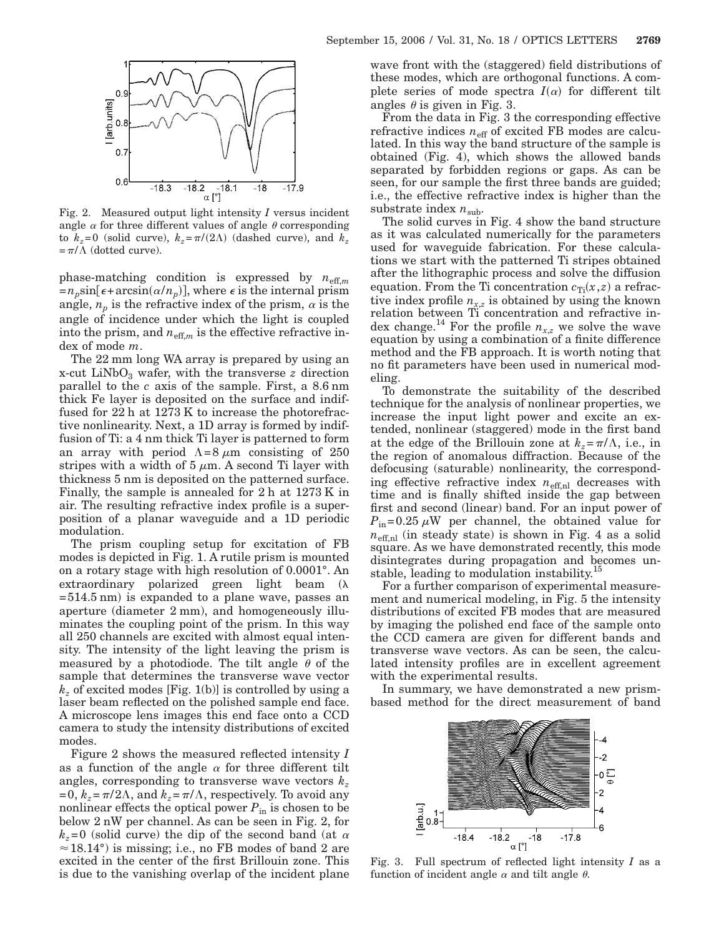

Fig. 2. Measured output light intensity *I* versus incident angle  $\alpha$  for three different values of angle  $\theta$  corresponding to  $k_z = 0$  (solid curve),  $k_z = \pi/(2\Lambda)$  (dashed curve), and  $k_z$  $=\pi/\Lambda$  (dotted curve).

phase-matching condition is expressed by  $n_{\text{eff},m}$  $=n_p \sin[\epsilon + \arcsin(\alpha/n_p)],$  where  $\epsilon$  is the internal prism angle,  $n_p$  is the refractive index of the prism,  $\alpha$  is the angle of incidence under which the light is coupled into the prism, and  $n_{\text{eff},m}$  is the effective refractive index of mode *m*.

The 22 mm long WA array is prepared by using an  $x$ -cut LiNbO<sub>3</sub> wafer, with the transverse *z* direction parallel to the *c* axis of the sample. First, a 8.6 nm thick Fe layer is deposited on the surface and indiffused for 22 h at 1273 K to increase the photorefractive nonlinearity. Next, a 1D array is formed by indiffusion of Ti: a 4 nm thick Ti layer is patterned to form an array with period  $\Lambda=8 \mu m$  consisting of 250 stripes with a width of  $5 \mu m$ . A second Ti layer with thickness 5 nm is deposited on the patterned surface. Finally, the sample is annealed for 2 h at 1273 K in air. The resulting refractive index profile is a superposition of a planar waveguide and a 1D periodic modulation.

The prism coupling setup for excitation of FB modes is depicted in Fig. 1. A rutile prism is mounted on a rotary stage with high resolution of 0.0001°. An  $extraordinary$  polarized green light beam  $(\lambda$  $=514.5$  nm) is expanded to a plane wave, passes an aperture (diameter 2 mm), and homogeneously illuminates the coupling point of the prism. In this way all 250 channels are excited with almost equal intensity. The intensity of the light leaving the prism is measured by a photodiode. The tilt angle  $\theta$  of the sample that determines the transverse wave vector *kz* of excited modes [Fig. 1(b)] is controlled by using a laser beam reflected on the polished sample end face. A microscope lens images this end face onto a CCD camera to study the intensity distributions of excited modes.

Figure 2 shows the measured reflected intensity *I* as a function of the angle  $\alpha$  for three different tilt angles, corresponding to transverse wave vectors *kz*  $=0, k_z = \pi/2\Lambda$ , and  $k_z = \pi/\Lambda$ , respectively. To avoid any nonlinear effects the optical power  $P_{\text{in}}$  is chosen to be below 2 nW per channel. As can be seen in Fig. 2, for  $k_z$ =0 (solid curve) the dip of the second band (at  $\alpha$  $\approx$  18.14°) is missing; i.e., no FB modes of band 2 are excited in the center of the first Brillouin zone. This is due to the vanishing overlap of the incident plane wave front with the (staggered) field distributions of these modes, which are orthogonal functions. A complete series of mode spectra  $I(\alpha)$  for different tilt angles  $\theta$  is given in Fig. 3.

From the data in Fig. 3 the corresponding effective refractive indices  $n_{\text{eff}}$  of excited FB modes are calculated. In this way the band structure of the sample is obtained (Fig. 4), which shows the allowed bands separated by forbidden regions or gaps. As can be seen, for our sample the first three bands are guided; i.e., the effective refractive index is higher than the substrate index  $n_{\text{sub}}$ .

The solid curves in Fig. 4 show the band structure as it was calculated numerically for the parameters used for waveguide fabrication. For these calculations we start with the patterned Ti stripes obtained after the lithographic process and solve the diffusion equation. From the Ti concentration  $c_{\text{Ti}}(x, z)$  a refractive index profile  $n_{x,z}$  is obtained by using the known relation between Ti concentration and refractive index change.<sup>14</sup> For the profile  $n_{x,z}$  we solve the wave equation by using a combination of a finite difference method and the FB approach. It is worth noting that no fit parameters have been used in numerical modeling.

To demonstrate the suitability of the described technique for the analysis of nonlinear properties, we increase the input light power and excite an extended, nonlinear (staggered) mode in the first band at the edge of the Brillouin zone at  $k_z = \pi/\Lambda$ , i.e., in the region of anomalous diffraction. Because of the defocusing (saturable) nonlinearity, the corresponding effective refractive index  $n_{\text{eff,nl}}$  decreases with time and is finally shifted inside the gap between first and second (linear) band. For an input power of  $P_{\text{in}}=0.25 \mu W$  per channel, the obtained value for  $n_{\text{eff,nl}}$  (in steady state) is shown in Fig. 4 as a solid square. As we have demonstrated recently, this mode disintegrates during propagation and becomes unstable, leading to modulation instability.<sup>15</sup>

For a further comparison of experimental measurement and numerical modeling, in Fig. 5 the intensity distributions of excited FB modes that are measured by imaging the polished end face of the sample onto the CCD camera are given for different bands and transverse wave vectors. As can be seen, the calculated intensity profiles are in excellent agreement with the experimental results.

In summary, we have demonstrated a new prismbased method for the direct measurement of band



Fig. 3. Full spectrum of reflected light intensity *I* as a function of incident angle  $\alpha$  and tilt angle  $\theta$ .